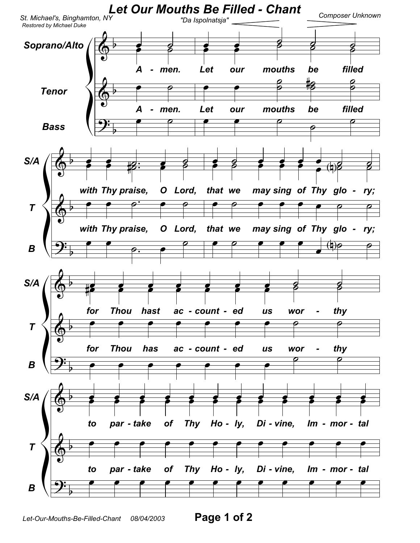